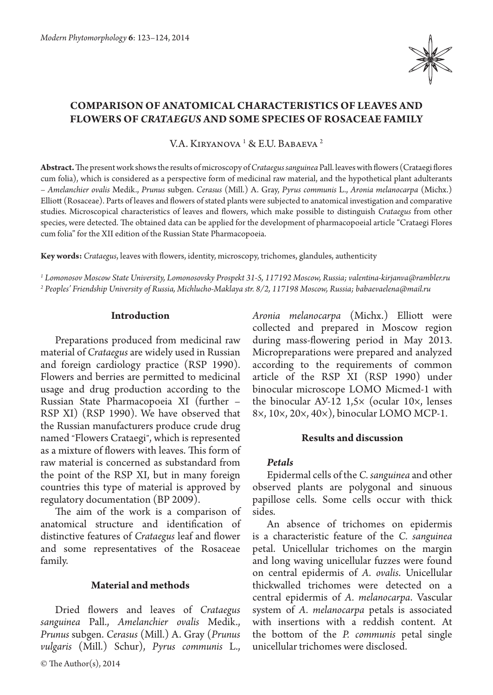

# **COMPARISON OF ANATOMICAL CHARACTERISTICS OF LEAVES AND FLOWERS OF** *CRATAEGUS* **AND SOME SPECIES OF ROSACEAE FAMILY**

V.A. Kiryanova <sup>1</sup> & E.U. Babaeva <sup>2</sup>

**Abstract.** The present work shows the results of microscopy of *Crataegus sanguinea* Pall. leaves with flowers (Crataegi flores cum folia), which is considered as a perspective form of medicinal raw material, and the hypothetical plant adulterants – *Amelanchier ovalis* Medik., *Prunus* subgen. *Cerasus* (Mill.) A. Gray, *Pyrus communis* L., *Aronia melanocarpa* (Michx.) Elliott (Rosaceae). Parts of leaves and flowers of stated plants were subjected to anatomical investigation and comparative studies. Microscopical characteristics of leaves and flowers, which make possible to distinguish *Crataegus* from other species, were detected. The obtained data can be applied for the development of pharmacopoeial article "Crataegi Flores cum folia" for the XII edition of the Russian State Pharmacopoeia.

**Key words:** *Crataegus*, leaves with flowers, identity, microscopy, trichomes, glandules, authenticity

*1 Lomonosov Moscow State University, Lomonosovsky Prospekt 31-5, 117192 Moscow, Russia; valentina-kirjanva@rambler.ru 2 Peoples' Friendship University of Russia, Michlucho-Maklaya str. 8/2, 117198 Moscow, Russia; babaevaelena@mail.ru*

## **Introduction**

Preparations produced from medicinal raw material of *Crataegus* are widely used in Russian and foreign cardiology practice (RSP 1990). Flowers and berries are permitted to medicinal usage and drug production according to the Russian State Pharmacopoeia XI (further – RSP XI) (RSP 1990). We have observed that the Russian manufacturers produce crude drug named "Flowers Crataegi", which is represented as a mixture of flowers with leaves. This form of raw material is concerned as substandard from the point of the RSP XI, but in many foreign countries this type of material is approved by regulatory documentation (BP 2009).

The aim of the work is a comparison of anatomical structure and identification of distinctive features of *Crataegus* leaf and flower and some representatives of the Rosaceae family.

## **Material and methods**

Dried flowers and leaves of *Crataegus sanguinea* Pall., *Amelanchier ovalis* Medik., *Prunus* subgen. *Cerasus* (Mill.) A. Gray (*Prunus vulgaris* (Mill.) Schur), *Pyrus communis* L., *Aronia melanocarpa* (Michx.) Elliott were collected and prepared in Moscow region during mass-flowering period in May 2013. Micropreparations were prepared and analyzed according to the requirements of common article of the RSP XI (RSP 1990) under binocular microscope LOMO Micmed-1 with the binocular АУ-12 1,5× (ocular 10×, lenses 8×, 10×, 20×, 40×), binocular LOMO МСP-1.

#### **Results and discussion**

## *Petals*

Epidermal cells of the *C. sanguinea* and other observed plants are polygonal and sinuous papillose cells. Some cells occur with thick sides.

An absence of trichomes on epidermis is a characteristic feature of the *C. sanguinea* petal. Unicellular trichomes on the margin and long waving unicellular fuzzes were found on central epidermis of *A. ovalis*. Unicellular thickwalled trichomes were detected on a central epidermis of *A. melanocarpa*. Vascular system of *A. melanocarpa* petals is associated with insertions with a reddish content. At the bottom of the *P. communis* petal single unicellular trichomes were disclosed.